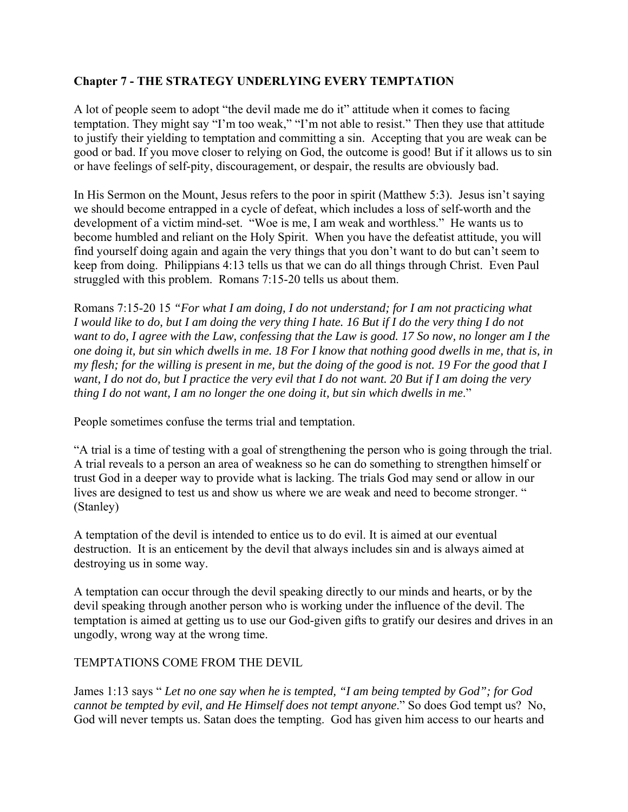# **Chapter 7 - THE STRATEGY UNDERLYING EVERY TEMPTATION**

A lot of people seem to adopt "the devil made me do it" attitude when it comes to facing temptation. They might say "I'm too weak," "I'm not able to resist." Then they use that attitude to justify their yielding to temptation and committing a sin. Accepting that you are weak can be good or bad. If you move closer to relying on God, the outcome is good! But if it allows us to sin or have feelings of self-pity, discouragement, or despair, the results are obviously bad.

In His Sermon on the Mount, Jesus refers to the poor in spirit (Matthew 5:3). Jesus isn't saying we should become entrapped in a cycle of defeat, which includes a loss of self-worth and the development of a victim mind-set. "Woe is me, I am weak and worthless." He wants us to become humbled and reliant on the Holy Spirit. When you have the defeatist attitude, you will find yourself doing again and again the very things that you don't want to do but can't seem to keep from doing. Philippians 4:13 tells us that we can do all things through Christ. Even Paul struggled with this problem. Romans 7:15-20 tells us about them.

Romans 7:15-20 15 *"For what I am doing, I do not understand; for I am not practicing what I would like to do, but I am doing the very thing I hate. 16 But if I do the very thing I do not want to do, I agree with the Law, confessing that the Law is good. 17 So now, no longer am I the one doing it, but sin which dwells in me. 18 For I know that nothing good dwells in me, that is, in my flesh; for the willing is present in me, but the doing of the good is not. 19 For the good that I want, I do not do, but I practice the very evil that I do not want. 20 But if I am doing the very thing I do not want, I am no longer the one doing it, but sin which dwells in me*."

People sometimes confuse the terms trial and temptation.

"A trial is a time of testing with a goal of strengthening the person who is going through the trial. A trial reveals to a person an area of weakness so he can do something to strengthen himself or trust God in a deeper way to provide what is lacking. The trials God may send or allow in our lives are designed to test us and show us where we are weak and need to become stronger. " (Stanley)

A temptation of the devil is intended to entice us to do evil. It is aimed at our eventual destruction. It is an enticement by the devil that always includes sin and is always aimed at destroying us in some way.

A temptation can occur through the devil speaking directly to our minds and hearts, or by the devil speaking through another person who is working under the influence of the devil. The temptation is aimed at getting us to use our God-given gifts to gratify our desires and drives in an ungodly, wrong way at the wrong time.

## TEMPTATIONS COME FROM THE DEVIL

James 1:13 says " *Let no one say when he is tempted, "I am being tempted by God"; for God cannot be tempted by evil, and He Himself does not tempt anyone*." So does God tempt us? No, God will never tempts us. Satan does the tempting. God has given him access to our hearts and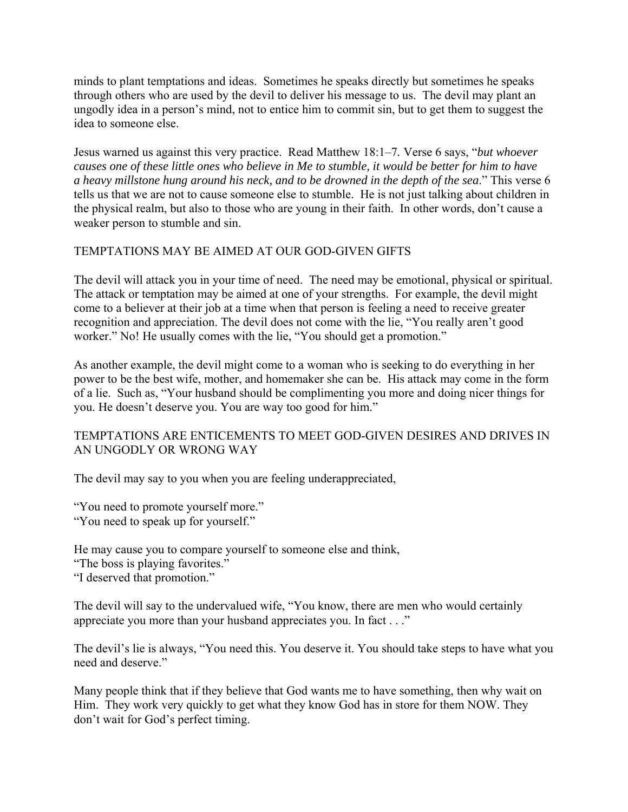minds to plant temptations and ideas. Sometimes he speaks directly but sometimes he speaks through others who are used by the devil to deliver his message to us. The devil may plant an ungodly idea in a person's mind, not to entice him to commit sin, but to get them to suggest the idea to someone else.

Jesus warned us against this very practice. Read Matthew 18:1–7*.* Verse 6 says, "*but whoever causes one of these little ones who believe in Me to stumble, it would be better for him to have a heavy millstone hung around his neck, and to be drowned in the depth of the sea*." This verse 6 tells us that we are not to cause someone else to stumble. He is not just talking about children in the physical realm, but also to those who are young in their faith. In other words, don't cause a weaker person to stumble and sin.

#### TEMPTATIONS MAY BE AIMED AT OUR GOD-GIVEN GIFTS

The devil will attack you in your time of need. The need may be emotional, physical or spiritual. The attack or temptation may be aimed at one of your strengths. For example, the devil might come to a believer at their job at a time when that person is feeling a need to receive greater recognition and appreciation. The devil does not come with the lie, "You really aren't good worker." No! He usually comes with the lie, "You should get a promotion."

As another example, the devil might come to a woman who is seeking to do everything in her power to be the best wife, mother, and homemaker she can be. His attack may come in the form of a lie. Such as, "Your husband should be complimenting you more and doing nicer things for you. He doesn't deserve you. You are way too good for him."

#### TEMPTATIONS ARE ENTICEMENTS TO MEET GOD-GIVEN DESIRES AND DRIVES IN AN UNGODLY OR WRONG WAY

The devil may say to you when you are feeling underappreciated,

"You need to promote yourself more." "You need to speak up for yourself."

He may cause you to compare yourself to someone else and think, "The boss is playing favorites." "I deserved that promotion."

The devil will say to the undervalued wife, "You know, there are men who would certainly appreciate you more than your husband appreciates you. In fact . . ."

The devil's lie is always, "You need this. You deserve it. You should take steps to have what you need and deserve."

Many people think that if they believe that God wants me to have something, then why wait on Him. They work very quickly to get what they know God has in store for them NOW. They don't wait for God's perfect timing.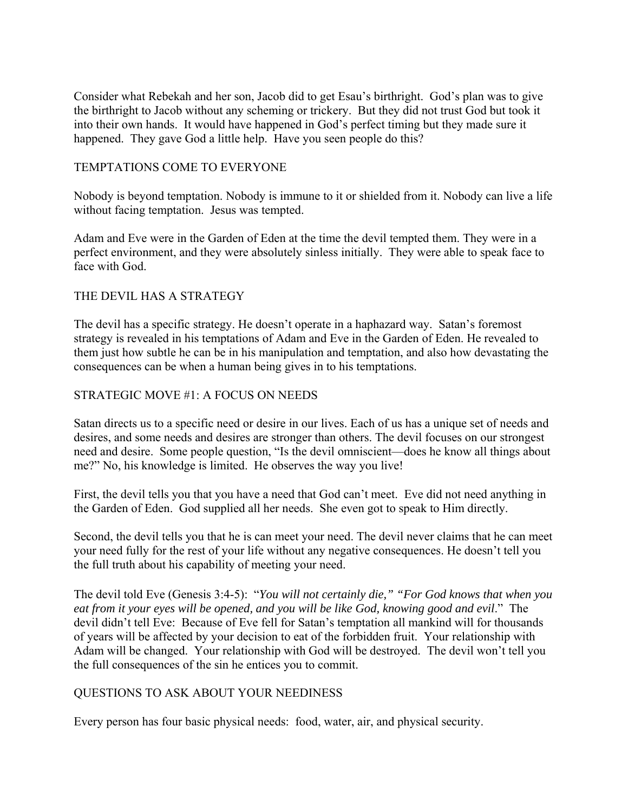Consider what Rebekah and her son, Jacob did to get Esau's birthright. God's plan was to give the birthright to Jacob without any scheming or trickery. But they did not trust God but took it into their own hands. It would have happened in God's perfect timing but they made sure it happened. They gave God a little help. Have you seen people do this?

#### TEMPTATIONS COME TO EVERYONE

Nobody is beyond temptation. Nobody is immune to it or shielded from it. Nobody can live a life without facing temptation. Jesus was tempted.

Adam and Eve were in the Garden of Eden at the time the devil tempted them. They were in a perfect environment, and they were absolutely sinless initially. They were able to speak face to face with God.

# THE DEVIL HAS A STRATEGY

The devil has a specific strategy. He doesn't operate in a haphazard way. Satan's foremost strategy is revealed in his temptations of Adam and Eve in the Garden of Eden. He revealed to them just how subtle he can be in his manipulation and temptation, and also how devastating the consequences can be when a human being gives in to his temptations.

## STRATEGIC MOVE #1: A FOCUS ON NEEDS

Satan directs us to a specific need or desire in our lives. Each of us has a unique set of needs and desires, and some needs and desires are stronger than others. The devil focuses on our strongest need and desire. Some people question, "Is the devil omniscient—does he know all things about me?" No, his knowledge is limited. He observes the way you live!

First, the devil tells you that you have a need that God can't meet. Eve did not need anything in the Garden of Eden. God supplied all her needs. She even got to speak to Him directly.

Second, the devil tells you that he is can meet your need. The devil never claims that he can meet your need fully for the rest of your life without any negative consequences. He doesn't tell you the full truth about his capability of meeting your need.

The devil told Eve (Genesis 3:4-5): "*You will not certainly die," "For God knows that when you eat from it your eyes will be opened, and you will be like God, knowing good and evil*." The devil didn't tell Eve: Because of Eve fell for Satan's temptation all mankind will for thousands of years will be affected by your decision to eat of the forbidden fruit. Your relationship with Adam will be changed. Your relationship with God will be destroyed. The devil won't tell you the full consequences of the sin he entices you to commit.

## QUESTIONS TO ASK ABOUT YOUR NEEDINESS

Every person has four basic physical needs: food, water, air, and physical security.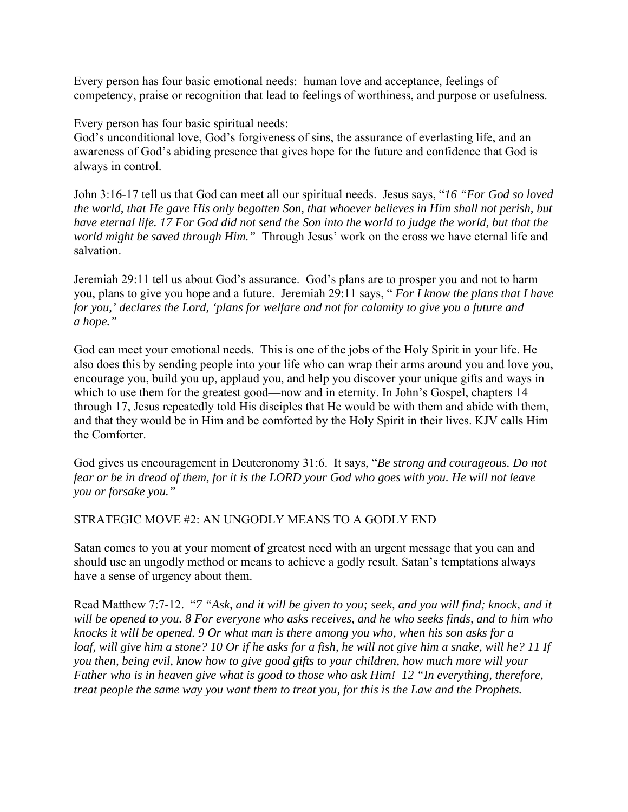Every person has four basic emotional needs: human love and acceptance, feelings of competency, praise or recognition that lead to feelings of worthiness, and purpose or usefulness.

Every person has four basic spiritual needs:

God's unconditional love, God's forgiveness of sins, the assurance of everlasting life, and an awareness of God's abiding presence that gives hope for the future and confidence that God is always in control.

John 3:16-17 tell us that God can meet all our spiritual needs. Jesus says, "*16 "For God so loved the world, that He gave His only begotten Son, that whoever believes in Him shall not perish, but have eternal life. 17 For God did not send the Son into the world to judge the world, but that the world might be saved through Him."* Through Jesus' work on the cross we have eternal life and salvation.

Jeremiah 29:11 tell us about God's assurance. God's plans are to prosper you and not to harm you, plans to give you hope and a future. Jeremiah 29:11 says, " *For I know the plans that I have for you,' declares the Lord, 'plans for welfare and not for calamity to give you a future and a hope."* 

God can meet your emotional needs. This is one of the jobs of the Holy Spirit in your life. He also does this by sending people into your life who can wrap their arms around you and love you, encourage you, build you up, applaud you, and help you discover your unique gifts and ways in which to use them for the greatest good—now and in eternity. In John's Gospel, chapters 14 through 17, Jesus repeatedly told His disciples that He would be with them and abide with them, and that they would be in Him and be comforted by the Holy Spirit in their lives. KJV calls Him the Comforter.

God gives us encouragement in Deuteronomy 31:6. It says, "*Be strong and courageous. Do not fear or be in dread of them, for it is the LORD your God who goes with you. He will not leave you or forsake you."* 

STRATEGIC MOVE #2: AN UNGODLY MEANS TO A GODLY END

Satan comes to you at your moment of greatest need with an urgent message that you can and should use an ungodly method or means to achieve a godly result. Satan's temptations always have a sense of urgency about them.

Read Matthew 7:7-12. "*7 "Ask, and it will be given to you; seek, and you will find; knock, and it will be opened to you. 8 For everyone who asks receives, and he who seeks finds, and to him who knocks it will be opened. 9 Or what man is there among you who, when his son asks for a loaf, will give him a stone? 10 Or if he asks for a fish, he will not give him a snake, will he? 11 If you then, being evil, know how to give good gifts to your children, how much more will your Father who is in heaven give what is good to those who ask Him! 12 "In everything, therefore, treat people the same way you want them to treat you, for this is the Law and the Prophets.*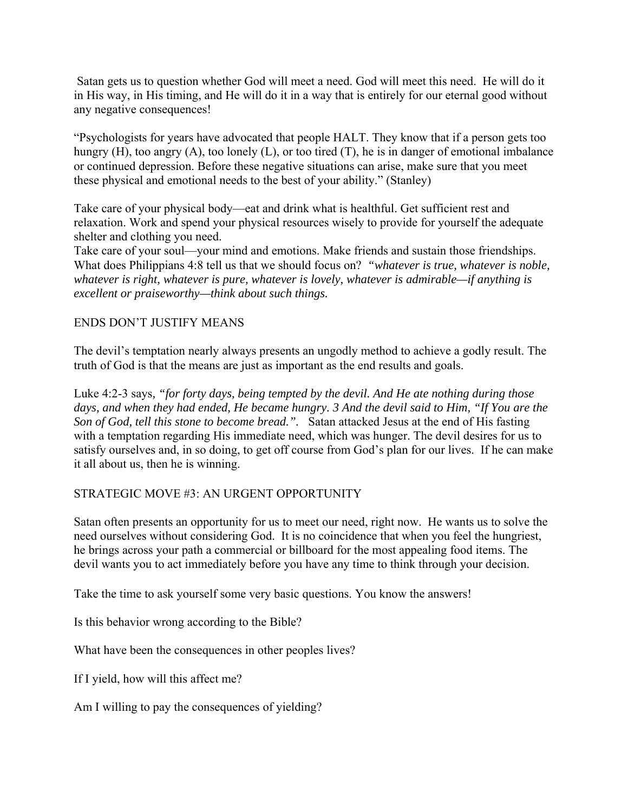Satan gets us to question whether God will meet a need. God will meet this need. He will do it in His way, in His timing, and He will do it in a way that is entirely for our eternal good without any negative consequences!

"Psychologists for years have advocated that people HALT. They know that if a person gets too hungry (H), too angry (A), too lonely (L), or too tired (T), he is in danger of emotional imbalance or continued depression. Before these negative situations can arise, make sure that you meet these physical and emotional needs to the best of your ability." (Stanley)

Take care of your physical body—eat and drink what is healthful. Get sufficient rest and relaxation. Work and spend your physical resources wisely to provide for yourself the adequate shelter and clothing you need.

Take care of your soul—your mind and emotions. Make friends and sustain those friendships. What does Philippians 4:8 tell us that we should focus on? *"whatever is true, whatever is noble, whatever is right, whatever is pure, whatever is lovely, whatever is admirable—if anything is excellent or praiseworthy—think about such things.*

## ENDS DON'T JUSTIFY MEANS

The devil's temptation nearly always presents an ungodly method to achieve a godly result. The truth of God is that the means are just as important as the end results and goals.

Luke 4:2-3 says*, "for forty days, being tempted by the devil. And He ate nothing during those days, and when they had ended, He became hungry. 3 And the devil said to Him, "If You are the Son of God, tell this stone to become bread.".* Satan attacked Jesus at the end of His fasting with a temptation regarding His immediate need, which was hunger. The devil desires for us to satisfy ourselves and, in so doing, to get off course from God's plan for our lives. If he can make it all about us, then he is winning.

## STRATEGIC MOVE #3: AN URGENT OPPORTUNITY

Satan often presents an opportunity for us to meet our need, right now. He wants us to solve the need ourselves without considering God. It is no coincidence that when you feel the hungriest, he brings across your path a commercial or billboard for the most appealing food items. The devil wants you to act immediately before you have any time to think through your decision.

Take the time to ask yourself some very basic questions. You know the answers!

Is this behavior wrong according to the Bible?

What have been the consequences in other peoples lives?

If I yield, how will this affect me?

Am I willing to pay the consequences of yielding?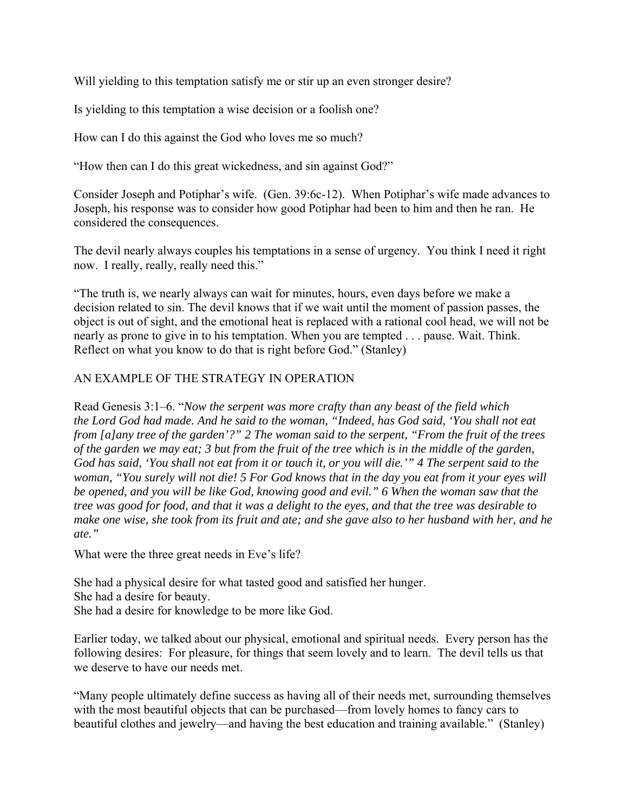Will yielding to this temptation satisfy me or stir up an even stronger desire?

Is yielding to this temptation a wise decision or a foolish one?

How can I do this against the God who loves me so much?

"How then can I do this great wickedness, and sin against God?"

Consider Joseph and Potiphar's wife. (Gen. 39:6c-12). When Potiphar's wife made advances to Joseph, his response was to consider how good Potiphar had been to him and then he ran. He considered the consequences.

The devil nearly always couples his temptations in a sense of urgency. You think I need it right now. I really, really, really need this."

"The truth is, we nearly always can wait for minutes, hours, even days before we make a decision related to sin. The devil knows that if we wait until the moment of passion passes, the object is out of sight, and the emotional heat is replaced with a rational cool head, we will not be nearly as prone to give in to his temptation. When you are tempted . . . pause. Wait. Think. Reflect on what you know to do that is right before God." (Stanley)

## AN EXAMPLE OF THE STRATEGY IN OPERATION

Read Genesis 3:1–6. "*Now the serpent was more crafty than any beast of the field which the Lord God had made. And he said to the woman, "Indeed, has God said, 'You shall not eat from [a]any tree of the garden'?" 2 The woman said to the serpent, "From the fruit of the trees of the garden we may eat; 3 but from the fruit of the tree which is in the middle of the garden, God has said, 'You shall not eat from it or touch it, or you will die.'" 4 The serpent said to the woman, "You surely will not die! 5 For God knows that in the day you eat from it your eyes will be opened, and you will be like God, knowing good and evil." 6 When the woman saw that the tree was good for food, and that it was a delight to the eyes, and that the tree was desirable to make one wise, she took from its fruit and ate; and she gave also to her husband with her, and he ate."* 

What were the three great needs in Eve's life?

She had a physical desire for what tasted good and satisfied her hunger. She had a desire for beauty. She had a desire for knowledge to be more like God.

Earlier today, we talked about our physical, emotional and spiritual needs. Every person has the following desires: For pleasure, for things that seem lovely and to learn. The devil tells us that we deserve to have our needs met.

"Many people ultimately define success as having all of their needs met, surrounding themselves with the most beautiful objects that can be purchased—from lovely homes to fancy cars to beautiful clothes and jewelry—and having the best education and training available." (Stanley)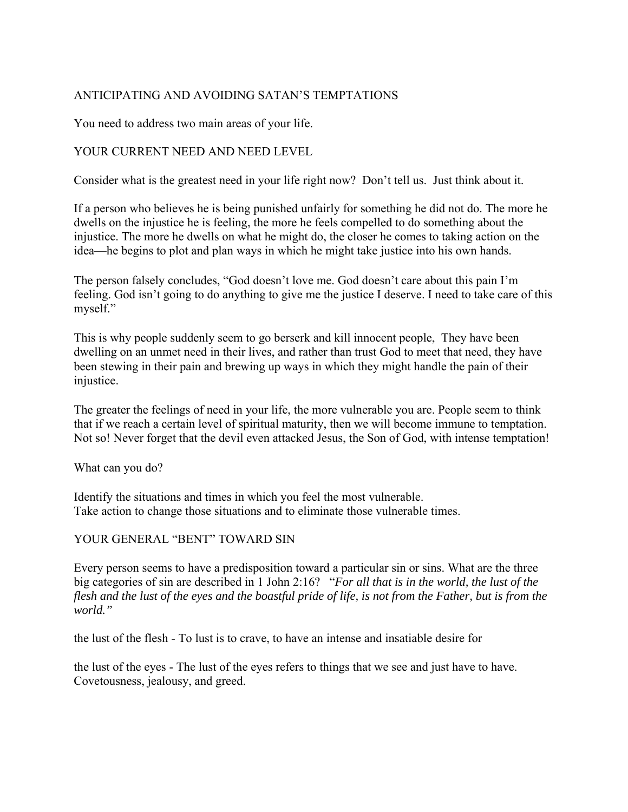# ANTICIPATING AND AVOIDING SATAN'S TEMPTATIONS

You need to address two main areas of your life.

#### YOUR CURRENT NEED AND NEED LEVEL

Consider what is the greatest need in your life right now? Don't tell us. Just think about it.

If a person who believes he is being punished unfairly for something he did not do. The more he dwells on the injustice he is feeling, the more he feels compelled to do something about the injustice. The more he dwells on what he might do, the closer he comes to taking action on the idea—he begins to plot and plan ways in which he might take justice into his own hands.

The person falsely concludes, "God doesn't love me. God doesn't care about this pain I'm feeling. God isn't going to do anything to give me the justice I deserve. I need to take care of this myself."

This is why people suddenly seem to go berserk and kill innocent people, They have been dwelling on an unmet need in their lives, and rather than trust God to meet that need, they have been stewing in their pain and brewing up ways in which they might handle the pain of their injustice.

The greater the feelings of need in your life, the more vulnerable you are. People seem to think that if we reach a certain level of spiritual maturity, then we will become immune to temptation. Not so! Never forget that the devil even attacked Jesus, the Son of God, with intense temptation!

What can you do?

Identify the situations and times in which you feel the most vulnerable. Take action to change those situations and to eliminate those vulnerable times.

#### YOUR GENERAL "BENT" TOWARD SIN

Every person seems to have a predisposition toward a particular sin or sins. What are the three big categories of sin are described in 1 John 2:16? "*For all that is in the world, the lust of the flesh and the lust of the eyes and the boastful pride of life, is not from the Father, but is from the world."* 

the lust of the flesh - To lust is to crave, to have an intense and insatiable desire for

the lust of the eyes - The lust of the eyes refers to things that we see and just have to have. Covetousness, jealousy, and greed.